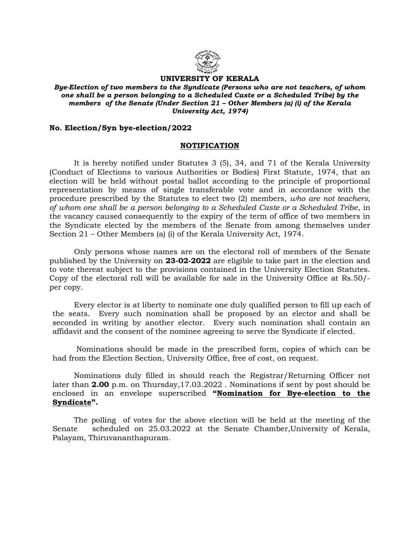

## UNIVERSITY OF KERALA

Bye-Election of two members to the Syndicate (Persons who are not teachers, of whom one shall be a person belonging to a Scheduled Caste or a Scheduled Tribe) by the members of the Senate (Under Section 21 – Other Members (a) (i) of the Kerala University Act, 1974)

## No. Election/Syn bye-election/2022

## NOTIFICATION

 It is hereby notified under Statutes 3 (5), 34, and 71 of the Kerala University (Conduct of Elections to various Authorities or Bodies) First Statute, 1974, that an election will be held without postal ballot according to the principle of proportional representation by means of single transferable vote and in accordance with the procedure prescribed by the Statutes to elect two (2) members, who are not teachers, of whom one shall be a person belonging to a Scheduled Caste or a Scheduled Tribe, in the vacancy caused consequently to the expiry of the term of office of two members in the Syndicate elected by the members of the Senate from among themselves under Section 21 – Other Members (a) (i) of the Kerala University Act, 1974.

Only persons whose names are on the electoral roll of members of the Senate published by the University on 23-02-2022 are eligible to take part in the election and to vote thereat subject to the provisions contained in the University Election Statutes. Copy of the electoral roll will be available for sale in the University Office at Rs.50/ per copy.

 Every elector is at liberty to nominate one duly qualified person to fill up each of the seats. Every such nomination shall be proposed by an elector and shall be seconded in writing by another elector. Every such nomination shall contain an affidavit and the consent of the nominee agreeing to serve the Syndicate if elected.

 Nominations should be made in the prescribed form, copies of which can be had from the Election Section, University Office, free of cost, on request.

 Nominations duly filled in should reach the Registrar/Returning Officer not later than 2.00 p.m. on Thursday,17.03.2022 . Nominations if sent by post should be enclosed in an envelope superscribed "Nomination for Bye-election to the Syndicate".

 The polling of votes for the above election will be held at the meeting of the Senate scheduled on 25.03.2022 at the Senate Chamber,University of Kerala, Palayam, Thiruvananthapuram.